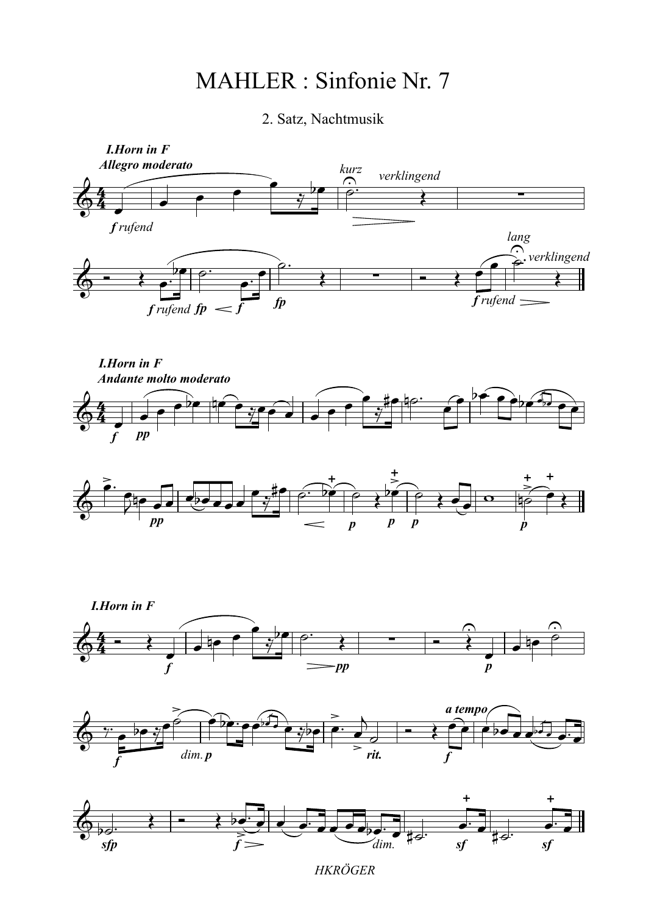## MAHLER : Sinfonie Nr. 7

## 2. Satz, Nachtmusik